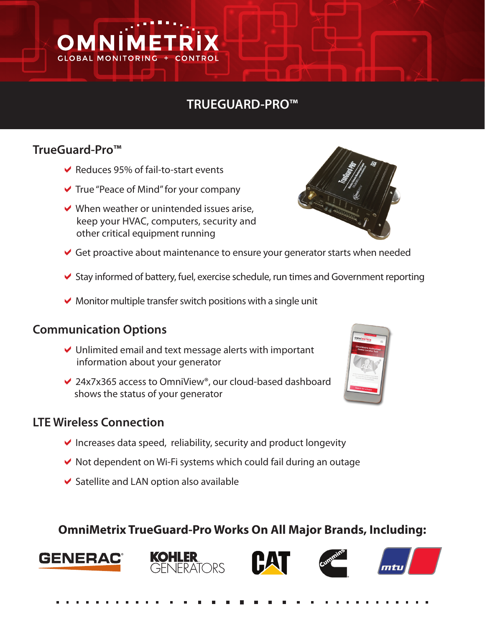# **TRUEGUARD-PRO™**

## **TrueGuard-Pro™**

OMN

**GLOBAL MONITO** 

- Reduces 95% of fail-to-start events
- $\blacktriangleright$  True "Peace of Mind" for your company
- $\vee$  When weather or unintended issues arise, keep your HVAC, computers, security and other critical equipment running



- Get proactive about maintenance to ensure your generator starts when needed
- $\blacktriangleright$  Stay informed of battery, fuel, exercise schedule, run times and Government reporting
- $\vee$  Monitor multiple transfer switch positions with a single unit

#### **Communication Options**

- $\vee$  Unlimited email and text message alerts with important information about your generator
- $\vee$  24x7x365 access to OmniView®, our cloud-based dashboard shows the status of your generator

#### **LTE Wireless Connection**

- $\vee$  Increases data speed, reliability, security and product longevity
- $\vee$  Not dependent on Wi-Fi systems which could fail during an outage
- $\triangleright$  Satellite and LAN option also available

### **OmniMetrix TrueGuard-Pro Works On All Major Brands, Including:**